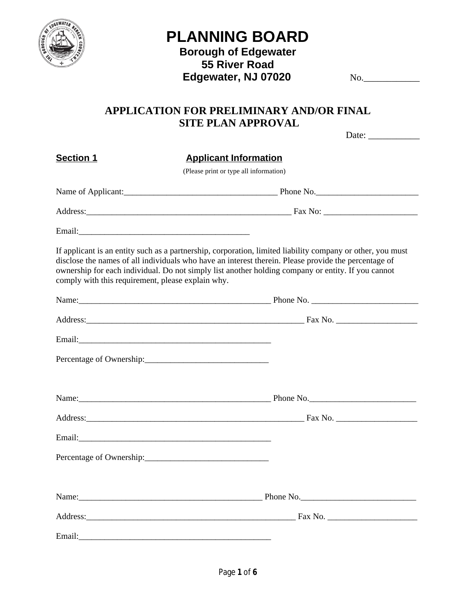

# **PLANNING BOARD**

## **Borough of Edgewater 55 River Road Edgewater, NJ 07020** No.

## **APPLICATION FOR PRELIMINARY AND/OR FINAL SITE PLAN APPROVAL**

|                                                   | Date: $\frac{1}{\sqrt{1-\frac{1}{2}}\cdot\frac{1}{2}}$                                                                                                                                                                                                                                                                   |
|---------------------------------------------------|--------------------------------------------------------------------------------------------------------------------------------------------------------------------------------------------------------------------------------------------------------------------------------------------------------------------------|
| <b>Section 1</b>                                  | <b>Applicant Information</b>                                                                                                                                                                                                                                                                                             |
|                                                   | (Please print or type all information)                                                                                                                                                                                                                                                                                   |
|                                                   |                                                                                                                                                                                                                                                                                                                          |
|                                                   |                                                                                                                                                                                                                                                                                                                          |
|                                                   |                                                                                                                                                                                                                                                                                                                          |
| comply with this requirement, please explain why. | If applicant is an entity such as a partnership, corporation, limited liability company or other, you must<br>disclose the names of all individuals who have an interest therein. Please provide the percentage of<br>ownership for each individual. Do not simply list another holding company or entity. If you cannot |
|                                                   |                                                                                                                                                                                                                                                                                                                          |
|                                                   |                                                                                                                                                                                                                                                                                                                          |
|                                                   |                                                                                                                                                                                                                                                                                                                          |
|                                                   | Percentage of Ownership:                                                                                                                                                                                                                                                                                                 |
|                                                   |                                                                                                                                                                                                                                                                                                                          |
|                                                   |                                                                                                                                                                                                                                                                                                                          |
|                                                   |                                                                                                                                                                                                                                                                                                                          |
|                                                   | Percentage of Ownership:                                                                                                                                                                                                                                                                                                 |
|                                                   |                                                                                                                                                                                                                                                                                                                          |
|                                                   |                                                                                                                                                                                                                                                                                                                          |
| Email: Email:                                     |                                                                                                                                                                                                                                                                                                                          |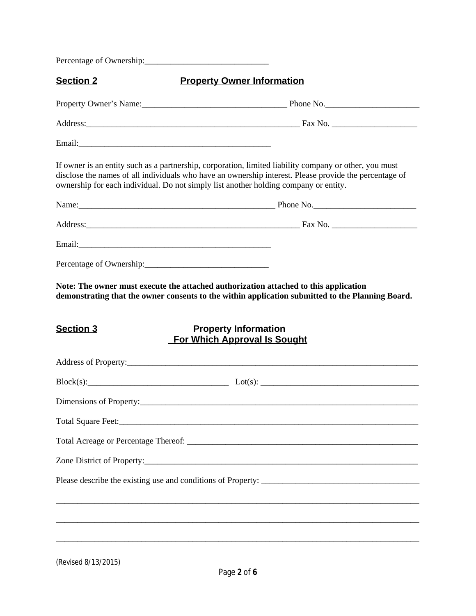Percentage of Ownership:\_\_\_\_\_\_\_\_\_\_\_\_\_\_\_\_\_\_\_\_\_\_\_\_\_\_\_\_\_

| Section 2          | <b>Property Owner Information</b>                                                                                                                                                                                                                                                                        |
|--------------------|----------------------------------------------------------------------------------------------------------------------------------------------------------------------------------------------------------------------------------------------------------------------------------------------------------|
|                    | Property Owner's Name: Mannell Manual Phone No. 2008. [19] Phone No. 2008. [19] Phone No.                                                                                                                                                                                                                |
|                    |                                                                                                                                                                                                                                                                                                          |
|                    |                                                                                                                                                                                                                                                                                                          |
|                    | If owner is an entity such as a partnership, corporation, limited liability company or other, you must<br>disclose the names of all individuals who have an ownership interest. Please provide the percentage of<br>ownership for each individual. Do not simply list another holding company or entity. |
|                    |                                                                                                                                                                                                                                                                                                          |
|                    | Address: Fax No. 2008. Address: Example 2014 19: 2014 19: 2014 19: 2014 19: 2014 19: 2014 19: 2014 19: 2014 19: 2014 19: 2014 19: 2014 19: 2014 19: 2014 19: 2014 19: 2014 19: 2014 19: 2014 19: 2014 19: 2014 19: 2014 19: 20                                                                           |
|                    |                                                                                                                                                                                                                                                                                                          |
|                    |                                                                                                                                                                                                                                                                                                          |
| <b>Section 3</b>   | <b>Property Information</b><br><b>For Which Approval Is Sought</b>                                                                                                                                                                                                                                       |
|                    |                                                                                                                                                                                                                                                                                                          |
|                    | $Block(s):$ $Lot(s):$ $Lot(s):$                                                                                                                                                                                                                                                                          |
|                    |                                                                                                                                                                                                                                                                                                          |
| Total Square Feet: | <u> 1989 - Johann John Stoff, deutscher Stoff aus der Stoff aus der Stoff aus der Stoff aus der Stoff aus der Stoff</u>                                                                                                                                                                                  |
|                    |                                                                                                                                                                                                                                                                                                          |
|                    |                                                                                                                                                                                                                                                                                                          |
|                    |                                                                                                                                                                                                                                                                                                          |
|                    |                                                                                                                                                                                                                                                                                                          |
|                    |                                                                                                                                                                                                                                                                                                          |
|                    |                                                                                                                                                                                                                                                                                                          |
|                    |                                                                                                                                                                                                                                                                                                          |

(Revised 8/13/2015)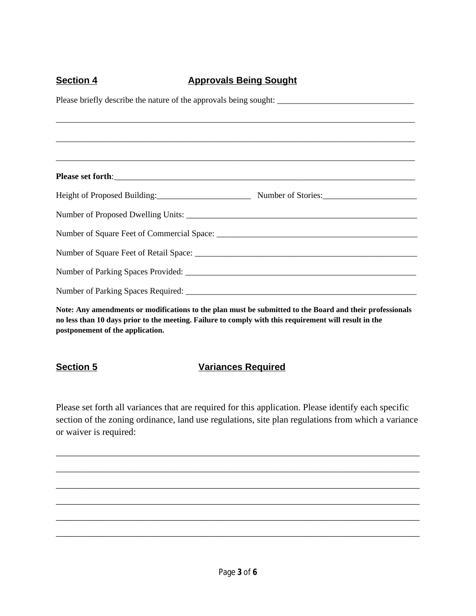## **Section 4 Approvals Being Sought**

| Height of Proposed Building: Number of Stories: Number of Stories:                                                                                      |  |  |
|---------------------------------------------------------------------------------------------------------------------------------------------------------|--|--|
|                                                                                                                                                         |  |  |
|                                                                                                                                                         |  |  |
|                                                                                                                                                         |  |  |
|                                                                                                                                                         |  |  |
|                                                                                                                                                         |  |  |
| $N_{14}$ , and considering a series $190$ , $41$ and $41$ , and consider the series $14$ and $14$ . The series $14$ and $41$ and $14$ and $14$ and $14$ |  |  |

**Note: Any amendments or modifications to the plan must be submitted to the Board and their professionals no less than 10 days prior to the meeting. Failure to comply with this requirement will result in the postponement of the application.**

## **Section 5 Variances Required**

Please set forth all variances that are required for this application. Please identify each specific section of the zoning ordinance, land use regulations, site plan regulations from which a variance or waiver is required:

\_\_\_\_\_\_\_\_\_\_\_\_\_\_\_\_\_\_\_\_\_\_\_\_\_\_\_\_\_\_\_\_\_\_\_\_\_\_\_\_\_\_\_\_\_\_\_\_\_\_\_\_\_\_\_\_\_\_\_\_\_\_\_\_\_\_\_\_\_\_\_\_\_\_\_\_\_\_

\_\_\_\_\_\_\_\_\_\_\_\_\_\_\_\_\_\_\_\_\_\_\_\_\_\_\_\_\_\_\_\_\_\_\_\_\_\_\_\_\_\_\_\_\_\_\_\_\_\_\_\_\_\_\_\_\_\_\_\_\_\_\_\_\_\_\_\_\_\_\_\_\_\_\_\_\_\_

\_\_\_\_\_\_\_\_\_\_\_\_\_\_\_\_\_\_\_\_\_\_\_\_\_\_\_\_\_\_\_\_\_\_\_\_\_\_\_\_\_\_\_\_\_\_\_\_\_\_\_\_\_\_\_\_\_\_\_\_\_\_\_\_\_\_\_\_\_\_\_\_\_\_\_\_\_\_

\_\_\_\_\_\_\_\_\_\_\_\_\_\_\_\_\_\_\_\_\_\_\_\_\_\_\_\_\_\_\_\_\_\_\_\_\_\_\_\_\_\_\_\_\_\_\_\_\_\_\_\_\_\_\_\_\_\_\_\_\_\_\_\_\_\_\_\_\_\_\_\_\_\_\_\_\_\_

\_\_\_\_\_\_\_\_\_\_\_\_\_\_\_\_\_\_\_\_\_\_\_\_\_\_\_\_\_\_\_\_\_\_\_\_\_\_\_\_\_\_\_\_\_\_\_\_\_\_\_\_\_\_\_\_\_\_\_\_\_\_\_\_\_\_\_\_\_\_\_\_\_\_\_\_\_\_

\_\_\_\_\_\_\_\_\_\_\_\_\_\_\_\_\_\_\_\_\_\_\_\_\_\_\_\_\_\_\_\_\_\_\_\_\_\_\_\_\_\_\_\_\_\_\_\_\_\_\_\_\_\_\_\_\_\_\_\_\_\_\_\_\_\_\_\_\_\_\_\_\_\_\_\_\_\_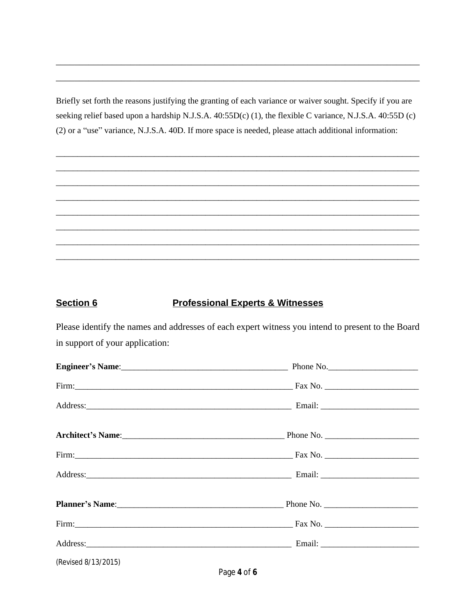Briefly set forth the reasons justifying the granting of each variance or waiver sought. Specify if you are seeking relief based upon a hardship N.J.S.A. 40:55D(c) (1), the flexible C variance, N.J.S.A. 40:55D (c) (2) or a "use" variance, N.J.S.A. 40D. If more space is needed, please attach additional information:

### **Section 6 Professional Experts & Witnesses**

Please identify the names and addresses of each expert witness you intend to present to the Board in support of your application:

|                     | Phone No.                                                       |  |
|---------------------|-----------------------------------------------------------------|--|
|                     |                                                                 |  |
|                     |                                                                 |  |
|                     |                                                                 |  |
|                     |                                                                 |  |
|                     |                                                                 |  |
|                     | Planner's Name: 2008 Manual Communication of Phone No. 2008 Mo. |  |
|                     |                                                                 |  |
|                     |                                                                 |  |
| (Revised 8/13/2015) |                                                                 |  |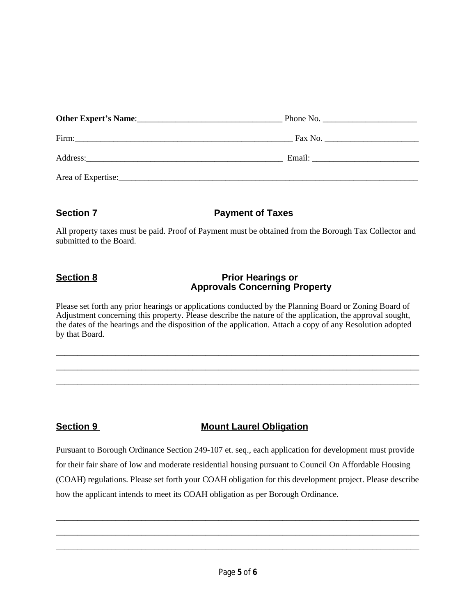|                    | Phone No.                                                                                                                                                                                                                      |  |
|--------------------|--------------------------------------------------------------------------------------------------------------------------------------------------------------------------------------------------------------------------------|--|
| Firm:              |                                                                                                                                                                                                                                |  |
|                    | Email: The contract of the contract of the contract of the contract of the contract of the contract of the contract of the contract of the contract of the contract of the contract of the contract of the contract of the con |  |
| Area of Expertise: |                                                                                                                                                                                                                                |  |

### **Section 7 Payment of Taxes**

All property taxes must be paid. Proof of Payment must be obtained from the Borough Tax Collector and submitted to the Board.

### **Section 8 Prior Hearings or Approvals Concerning Property**

Please set forth any prior hearings or applications conducted by the Planning Board or Zoning Board of Adjustment concerning this property. Please describe the nature of the application, the approval sought, the dates of the hearings and the disposition of the application. Attach a copy of any Resolution adopted by that Board.

\_\_\_\_\_\_\_\_\_\_\_\_\_\_\_\_\_\_\_\_\_\_\_\_\_\_\_\_\_\_\_\_\_\_\_\_\_\_\_\_\_\_\_\_\_\_\_\_\_\_\_\_\_\_\_\_\_\_\_\_\_\_\_\_\_\_\_\_\_\_\_\_\_\_\_\_\_\_\_\_\_\_\_\_\_ \_\_\_\_\_\_\_\_\_\_\_\_\_\_\_\_\_\_\_\_\_\_\_\_\_\_\_\_\_\_\_\_\_\_\_\_\_\_\_\_\_\_\_\_\_\_\_\_\_\_\_\_\_\_\_\_\_\_\_\_\_\_\_\_\_\_\_\_\_\_\_\_\_\_\_\_\_\_\_\_\_\_\_\_\_ \_\_\_\_\_\_\_\_\_\_\_\_\_\_\_\_\_\_\_\_\_\_\_\_\_\_\_\_\_\_\_\_\_\_\_\_\_\_\_\_\_\_\_\_\_\_\_\_\_\_\_\_\_\_\_\_\_\_\_\_\_\_\_\_\_\_\_\_\_\_\_\_\_\_\_\_\_\_\_\_\_\_\_\_\_

## **Section 9 Mount Laurel Obligation**

Pursuant to Borough Ordinance Section 249-107 et. seq., each application for development must provide for their fair share of low and moderate residential housing pursuant to Council On Affordable Housing (COAH) regulations. Please set forth your COAH obligation for this development project. Please describe how the applicant intends to meet its COAH obligation as per Borough Ordinance.

\_\_\_\_\_\_\_\_\_\_\_\_\_\_\_\_\_\_\_\_\_\_\_\_\_\_\_\_\_\_\_\_\_\_\_\_\_\_\_\_\_\_\_\_\_\_\_\_\_\_\_\_\_\_\_\_\_\_\_\_\_\_\_\_\_\_\_\_\_\_\_\_\_\_\_\_\_\_\_\_\_\_\_\_\_ \_\_\_\_\_\_\_\_\_\_\_\_\_\_\_\_\_\_\_\_\_\_\_\_\_\_\_\_\_\_\_\_\_\_\_\_\_\_\_\_\_\_\_\_\_\_\_\_\_\_\_\_\_\_\_\_\_\_\_\_\_\_\_\_\_\_\_\_\_\_\_\_\_\_\_\_\_\_\_\_\_\_\_\_\_ \_\_\_\_\_\_\_\_\_\_\_\_\_\_\_\_\_\_\_\_\_\_\_\_\_\_\_\_\_\_\_\_\_\_\_\_\_\_\_\_\_\_\_\_\_\_\_\_\_\_\_\_\_\_\_\_\_\_\_\_\_\_\_\_\_\_\_\_\_\_\_\_\_\_\_\_\_\_\_\_\_\_\_\_\_